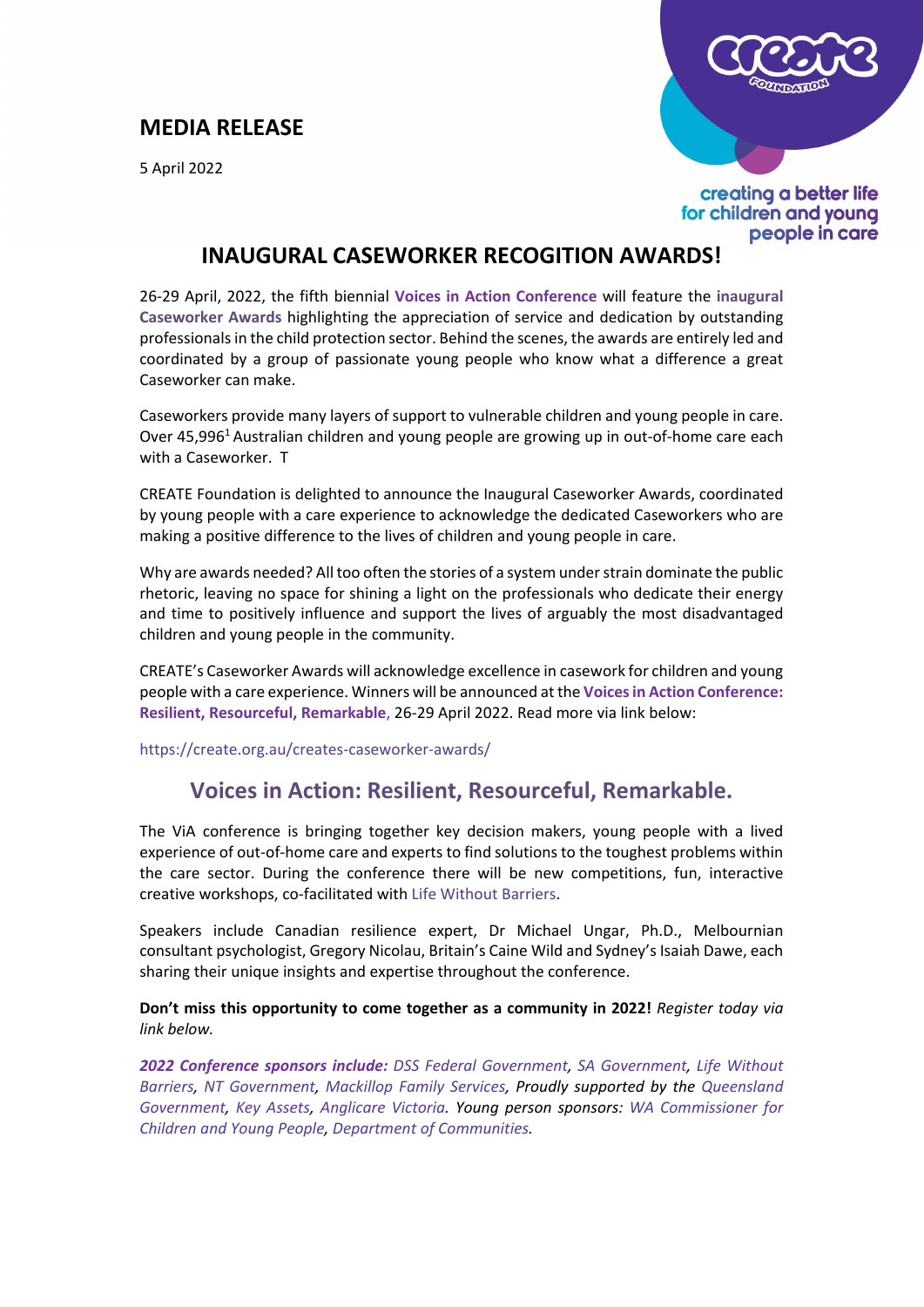# **MEDIA RELEASE**

5 April 2022



creating a better life for children and young people in care

# **INAUGURAL CASEWORKER RECOGITION AWARDS!**

26-29 April, 2022, the fifth biennial **Voices in Action Conference** will feature the **inaugural [Caseworker Awards](https://create.org.au/creates-caseworker-awards/)** highlighting the appreciation of service and dedication by outstanding professionals in the child protection sector. Behind the scenes, the awards are entirely led and coordinated by a group of passionate young people who know what a difference a great Caseworker can make.

Caseworkers provide many layers of support to vulnerable children and young people in care. Over 45,996<sup>1</sup> Australian children and young people are growing up in out-of-home care each with a Caseworker. T

CREATE Foundation is delighted to announce the Inaugural Caseworker Awards, coordinated by young people with a care experience to acknowledge the dedicated Caseworkers who are making a positive difference to the lives of children and young people in care.

Why are awards needed? All too often the stories of a system under strain dominate the public rhetoric, leaving no space for shining a light on the professionals who dedicate their energy and time to positively influence and support the lives of arguably the most disadvantaged children and young people in the community.

CREATE's Caseworker Awards will acknowledge excellence in casework for children and young people with a care experience. Winners will be announced at the **Voices in Action Conference: Resilient, Resourceful, Remarkable**, 26-29 April 2022. Read more via link below:

<https://create.org.au/creates-caseworker-awards/>

# **Voices in Action: Resilient, Resourceful, Remarkable.**

The ViA conference is bringing together key decision makers, young people with a lived experience of out-of-home care and experts to find solutions to the toughest problems within the care sector. During the conference there will be new competitions, fun, interactive creative workshops, co-facilitated with [Life Without Barriers.](https://www.lwb.org.au/)

Speakers include Canadian resilience expert, Dr Michael Ungar, Ph.D., Melbournian consultant psychologist, Gregory Nicolau, Britain's Caine Wild and Sydney's Isaiah Dawe, each sharing their unique insights and expertise throughout the conference.

**Don't miss this opportunity to come together as a community in 2022!** *Register today via link below.*

*2022 Conference sponsors include: [DSS Federal Government,](https://www.dss.gov.au/) [SA Government,](https://www.sa.gov.au/) [Life Without](https://www.lwb.org.au/)  [Barriers,](https://www.lwb.org.au/) [NT Government,](https://nt.gov.au/) [Mackillop Family Services,](https://www.mackillop.org.au/) Proudly supported by the [Queensland](https://www.qld.gov.au/)  [Government,](https://www.qld.gov.au/) [Key Assets,](https://keyassets.org.au/) [Anglicare Victoria.](https://www.anglicarevic.org.au/) Young person sponsors: [WA Commissioner for](https://www.ccyp.wa.gov.au/)  [Children and Young People,](https://www.ccyp.wa.gov.au/) [Department of Communities.](https://www.wa.gov.au/organisation/department-of-communities)*